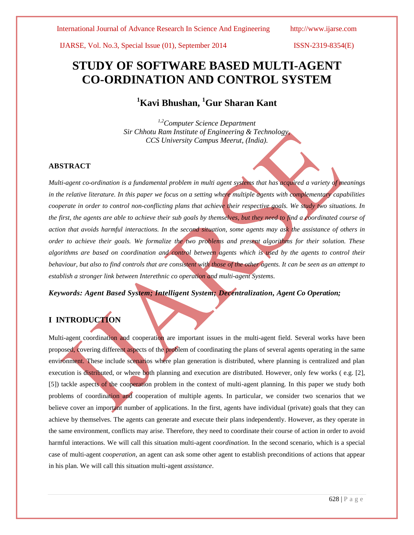# **STUDY OF SOFTWARE BASED MULTI-AGENT CO-ORDINATION AND CONTROL SYSTEM**

# **<sup>1</sup>Kavi Bhushan, <sup>1</sup>Gur Sharan Kant**

*1,2Computer Science Department Sir Chhotu Ram Institute of Engineering & Technology, CCS University Campus Meerut, (India).*

# **ABSTRACT**

*Multi-agent co-ordination is a fundamental problem in multi agent systems that has acquired a variety of meanings in the relative literature. In this paper we focus on a setting where multiple agents with complementary capabilities cooperate in order to control non-conflicting plans that achieve their respective goals. We study two situations. In the first, the agents are able to achieve their sub goals by themselves, but they need to find a coordinated course of action that avoids harmful interactions. In the second situation, some agents may ask the assistance of others in order to achieve their goals. We formalize the two problems and present algorithms for their solution. These algorithms are based on coordination and control between agents which is used by the agents to control their behaviour, but also to find controls that are consistent with those of the other agents. It can be seen as an attempt to establish a stronger link between Interethnic co operation and multi-agent Systems*.

*Keywords: Agent Based System; Intelligent System; Decentralization, Agent Co Operation;*

# **I INTRODUCTION**

Multi-agent coordination and cooperation are important issues in the multi-agent field. Several works have been proposed, covering different aspects of the problem of coordinating the plans of several agents operating in the same environment. These include scenarios where plan generation is distributed, where planning is centralized and plan execution is distributed, or where both planning and execution are distributed. However, only few works (e.g. [2], [5]) tackle aspects of the cooperation problem in the context of multi-agent planning. In this paper we study both problems of coordination and cooperation of multiple agents. In particular, we consider two scenarios that we believe cover an important number of applications. In the first, agents have individual (private) goals that they can achieve by themselves. The agents can generate and execute their plans independently. However, as they operate in the same environment, conflicts may arise. Therefore, they need to coordinate their course of action in order to avoid harmful interactions. We will call this situation multi-agent *coordination*. In the second scenario, which is a special case of multi-agent *cooperation*, an agent can ask some other agent to establish preconditions of actions that appear in his plan. We will call this situation multi-agent *assistance*.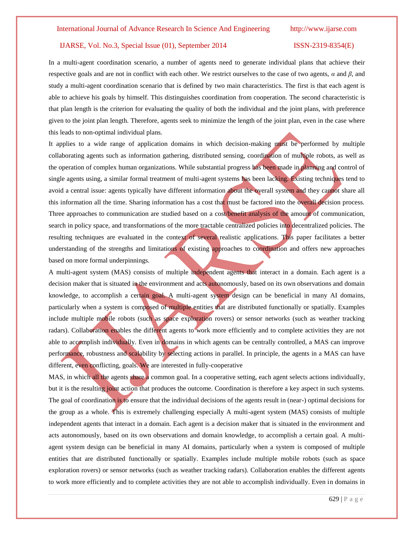In a multi-agent coordination scenario, a number of agents need to generate individual plans that achieve their respective goals and are not in conflict with each other. We restrict ourselves to the case of two agents, *α* and *β*, and study a multi-agent coordination scenario that is defined by two main characteristics. The first is that each agent is able to achieve his goals by himself. This distinguishes coordination from cooperation. The second characteristic is that plan length is the criterion for evaluating the quality of both the individual and the joint plans, with preference given to the joint plan length. Therefore, agents seek to minimize the length of the joint plan, even in the case where this leads to non-optimal individual plans.

It applies to a wide range of application domains in which decision-making must be performed by multiple collaborating agents such as information gathering, distributed sensing, coordination of multiple robots, as well as the operation of complex human organizations. While substantial progress has been made in planning and control of single agents using, a similar formal treatment of multi-agent systems has been lacking. Existing techniques tend to avoid a central issue: agents typically have different information about the overall system and they cannot share all this information all the time. Sharing information has a cost that must be factored into the overall decision process. Three approaches to communication are studied based on a cost/benefit analysis of the amount of communication, search in policy space, and transformations of the more tractable centralized policies into decentralized policies. The resulting techniques are evaluated in the context of several realistic applications. This paper facilitates a better understanding of the strengths and limitations of existing approaches to coordination and offers new approaches based on more formal underpinnings.

A multi-agent system (MAS) consists of multiple independent agents that interact in a domain. Each agent is a decision maker that is situated in the environment and acts autonomously, based on its own observations and domain knowledge, to accomplish a certain goal. A multi-agent system design can be beneficial in many AI domains, particularly when a system is composed of multiple entities that are distributed functionally or spatially. Examples include multiple mobile robots (such as space exploration rovers) or sensor networks (such as weather tracking radars). Collaboration enables the different agents to work more efficiently and to complete activities they are not able to accomplish individually. Even in domains in which agents can be centrally controlled, a MAS can improve performance, robustness and scalability by selecting actions in parallel. In principle, the agents in a MAS can have different, even conflicting, goals. We are interested in fully-cooperative

MAS, in which all the agents share a common goal. In a cooperative setting, each agent selects actions individually, but it is the resulting joint action that produces the outcome. Coordination is therefore a key aspect in such systems. The goal of coordination is to ensure that the individual decisions of the agents result in (near-) optimal decisions for the group as a whole. This is extremely challenging especially A multi-agent system (MAS) consists of multiple independent agents that interact in a domain. Each agent is a decision maker that is situated in the environment and acts autonomously, based on its own observations and domain knowledge, to accomplish a certain goal. A multiagent system design can be beneficial in many AI domains, particularly when a system is composed of multiple entities that are distributed functionally or spatially. Examples include multiple mobile robots (such as space exploration rovers) or sensor networks (such as weather tracking radars). Collaboration enables the different agents to work more efficiently and to complete activities they are not able to accomplish individually. Even in domains in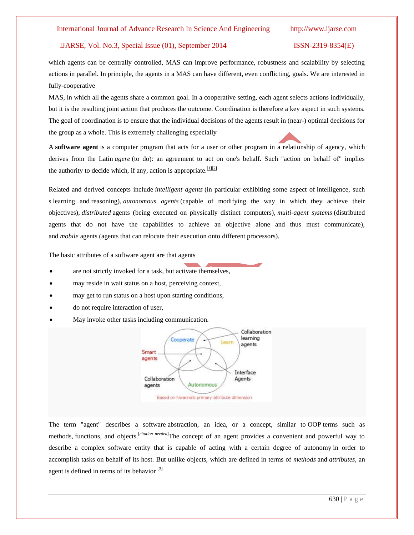# International Journal of Advance Research In Science And Engineering http://www.ijarse.com

# IJARSE, Vol. No.3, Special Issue (01), September 2014 ISSN-2319-8354(E)

which agents can be centrally controlled, MAS can improve performance, robustness and scalability by selecting actions in parallel. In principle, the agents in a MAS can have different, even conflicting, goals. We are interested in fully-cooperative

MAS, in which all the agents share a common goal. In a cooperative setting, each agent selects actions individually, but it is the resulting joint action that produces the outcome. Coordination is therefore a key aspect in such systems. The goal of coordination is to ensure that the individual decisions of the agents result in (near-) optimal decisions for the group as a whole. This is extremely challenging especially

A **software agent** is a computer program that acts for a user or other program in a relationship of agency, which derives from the Latin *agere* (to do): an agreement to act on one's behalf. Such "action on behalf of" implies the [authority](http://en.wikipedia.org/wiki/Authority) to decide which, if any, action is appropriate[.](http://en.wikipedia.org/wiki/Software_agent#cite_note-1)<sup>[\[1\]\[2\]](http://en.wikipedia.org/wiki/Software_agent#cite_note-1)</sup>

Related and derived concepts include *[intelligent agents](http://en.wikipedia.org/wiki/Intelligent_agent)* (in particular exhibiting some aspect of intelligence, such s [learning](http://en.wikipedia.org/wiki/Learning) and [reasoning\)](http://en.wikipedia.org/wiki/Reasoning), *[autonomous agents](http://en.wikipedia.org/wiki/Autonomous_agent)* (capable of modifying the way in which they achieve their objectives), *distributed* agents (being executed on physically distinct computers), *[multi-agent systems](http://en.wikipedia.org/wiki/Multi-agent_system)* (distributed agents that do not have the capabilities to achieve an objective alone and thus must communicate), and *mobile* agents (agents that can relocate their execution onto different processors).

The basic attributes of a software agent are that agents

- are not strictly invoked for a task, but activate themselves,
- may reside in wait status on a host, perceiving context,
- may get to run status on a host upon starting conditions,
- do not require interaction of user,
- May invoke other tasks including communication.



The term "agent" describes a software [abstraction,](http://en.wikipedia.org/wiki/Abstraction) an idea, or a concept, similar to [OOP](http://en.wikipedia.org/wiki/Object_oriented_programming) terms such as methods, [functions,](http://en.wikipedia.org/wiki/Function_(engineering)) and objects.<sup>[*[citation needed](http://en.wikipedia.org/wiki/Wikipedia:Citation_needed)*]The concept of an agent provides a convenient and powerful way to</sup> describe a complex software entity that is capable of acting with a certain degree of [autonomy](http://en.wikipedia.org/wiki/Autonomy) in order to accomplish tasks on behalf of its host. But unlike objects, which are defined in terms of *methods* and *attributes*, an agent is defined in terms of its behavior <sup>[\[3\]](http://en.wikipedia.org/wiki/Software_agent#cite_note-3)</sup>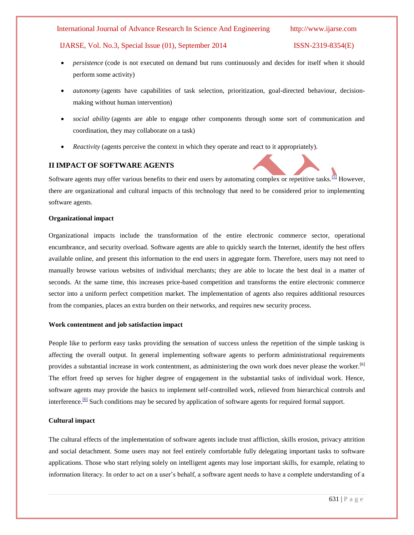### International Journal of Advance Research In Science And Engineering http://www.ijarse.com

# IJARSE, Vol. No.3, Special Issue (01), September 2014 ISSN-2319-8354(E)

- *persistence* (code is not executed on demand but runs continuously and decides for itself when it should perform some activity)
- *autonomy* (agents have capabilities of task selection, prioritization, goal-directed behaviour, decisionmaking without human intervention)
- *social ability* (agents are able to engage other components through some sort of communication and coordination, they may collaborate on a task)
- *Reactivity* (agents perceive the context in which they operate and react to it appropriately).

# **II IMPACT OF SOFTWARE AGENTS**

Software agents may offer various benefits to their end users by automating complex or repetitive tasks.<sup>[\[5\]](http://en.wikipedia.org/wiki/Software_agent#cite_note-5)</sup> However, there are organizational and cultural impacts of this technology that need to be considered prior to implementing software agents.

## **Organizational impact**

Organizational impacts include the transformation of the entire electronic commerce sector, operational encumbrance, and security overload. Software agents are able to quickly search the Internet, identify the best offers available online, and present this information to the end users in aggregate form. Therefore, users may not need to manually browse various websites of individual merchants; they are able to locate the best deal in a matter of seconds. At the same time, this increases price-based competition and transforms the entire electronic commerce sector into a uniform perfect competition market. The implementation of agents also requires additional resources from the companies, places an extra burden on their networks, and requires new security process.

### **Work contentment and job satisfaction impact**

People like to perform easy tasks providing the sensation of success unless the repetition of the simple tasking is affecting the overall output. In general implementing software agents to perform administrational requirements provides a substantial increase in work contentment, as administering the own work does never please the worker.<sup>[6]</sup> The effort freed up serves for higher degree of engagement in the substantial tasks of individual work. Hence, software agents may provide the basics to implement self-controlled work, relieved from hierarchical controls and interference.<sup>[\[6\]](http://en.wikipedia.org/wiki/Software_agent#cite_note-6)</sup> Such conditions may be secured by application of software agents for required formal support.

# **Cultural impact**

The cultural effects of the implementation of software agents include trust affliction, skills erosion, privacy attrition and social detachment. Some users may not feel entirely comfortable fully delegating important tasks to software applications. Those who start relying solely on intelligent agents may lose important skills, for example, relating to information literacy. In order to act on a user's behalf, a software agent needs to have a complete understanding of a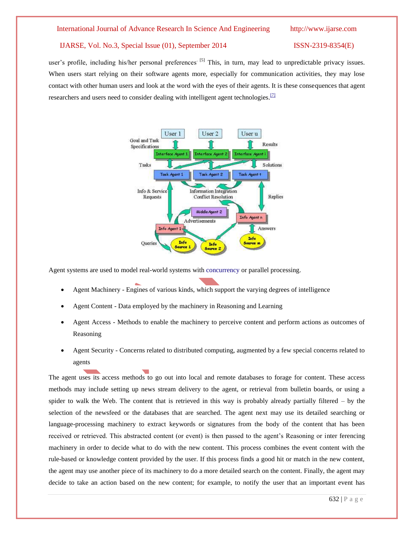user's profile, including his/her personal preferences<sup>[5]</sup> This, in turn, may lead to unpredictable privacy issues. When users start relying on their software agents more, especially for communication activities, they may lose contact with other human users and look at the word with the eyes of their agents. It is these consequences that agent researchers and users need to consider dealing with intelligent agent technologies.<sup>[\[7\]](http://en.wikipedia.org/wiki/Software_agent#cite_note-7)</sup>



Agent systems are used to model real-world systems with [concurrency](http://en.wikipedia.org/wiki/Concurrency_(computer_science)) or parallel processing.

- Agent Machinery Engines of various kinds, which support the varying degrees of intelligence
- Agent Content Data employed by the machinery in Reasoning and Learning
- Agent Access Methods to enable the machinery to perceive content and perform actions as outcomes of Reasoning
- Agent Security Concerns related to distributed computing, augmented by a few special concerns related to agents

The agent uses its access methods to go out into local and remote databases to forage for content. These access methods may include setting up news stream delivery to the agent, or retrieval from bulletin boards, or using a spider to walk the Web. The content that is retrieved in this way is probably already partially filtered – by the selection of the newsfeed or the databases that are searched. The agent next may use its detailed searching or language-processing machinery to extract keywords or signatures from the body of the content that has been received or retrieved. This abstracted content (or event) is then passed to the agent's Reasoning or inter ferencing machinery in order to decide what to do with the new content. This process combines the event content with the rule-based or knowledge content provided by the user. If this process finds a good hit or match in the new content, the agent may use another piece of its machinery to do a more detailed search on the content. Finally, the agent may decide to take an action based on the new content; for example, to notify the user that an important event has